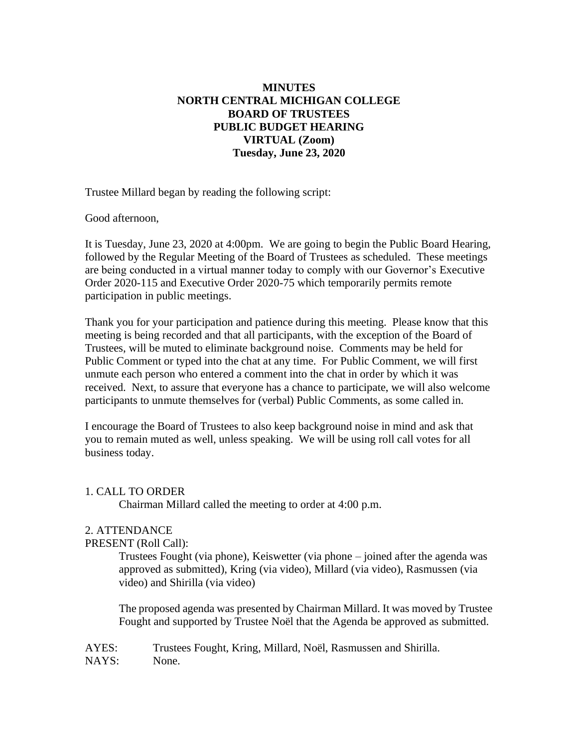## **MINUTES NORTH CENTRAL MICHIGAN COLLEGE BOARD OF TRUSTEES PUBLIC BUDGET HEARING VIRTUAL (Zoom) Tuesday, June 23, 2020**

Trustee Millard began by reading the following script:

Good afternoon,

It is Tuesday, June 23, 2020 at 4:00pm. We are going to begin the Public Board Hearing, followed by the Regular Meeting of the Board of Trustees as scheduled. These meetings are being conducted in a virtual manner today to comply with our Governor's Executive Order 2020-115 and Executive Order 2020-75 which temporarily permits remote participation in public meetings.

Thank you for your participation and patience during this meeting. Please know that this meeting is being recorded and that all participants, with the exception of the Board of Trustees, will be muted to eliminate background noise. Comments may be held for Public Comment or typed into the chat at any time. For Public Comment, we will first unmute each person who entered a comment into the chat in order by which it was received. Next, to assure that everyone has a chance to participate, we will also welcome participants to unmute themselves for (verbal) Public Comments, as some called in.

I encourage the Board of Trustees to also keep background noise in mind and ask that you to remain muted as well, unless speaking. We will be using roll call votes for all business today.

## 1. CALL TO ORDER

Chairman Millard called the meeting to order at 4:00 p.m.

## 2. ATTENDANCE

PRESENT (Roll Call):

Trustees Fought (via phone), Keiswetter (via phone – joined after the agenda was approved as submitted), Kring (via video), Millard (via video), Rasmussen (via video) and Shirilla (via video)

The proposed agenda was presented by Chairman Millard. It was moved by Trustee Fought and supported by Trustee Noël that the Agenda be approved as submitted.

AYES: Trustees Fought, Kring, Millard, Noël, Rasmussen and Shirilla. NAYS: None.